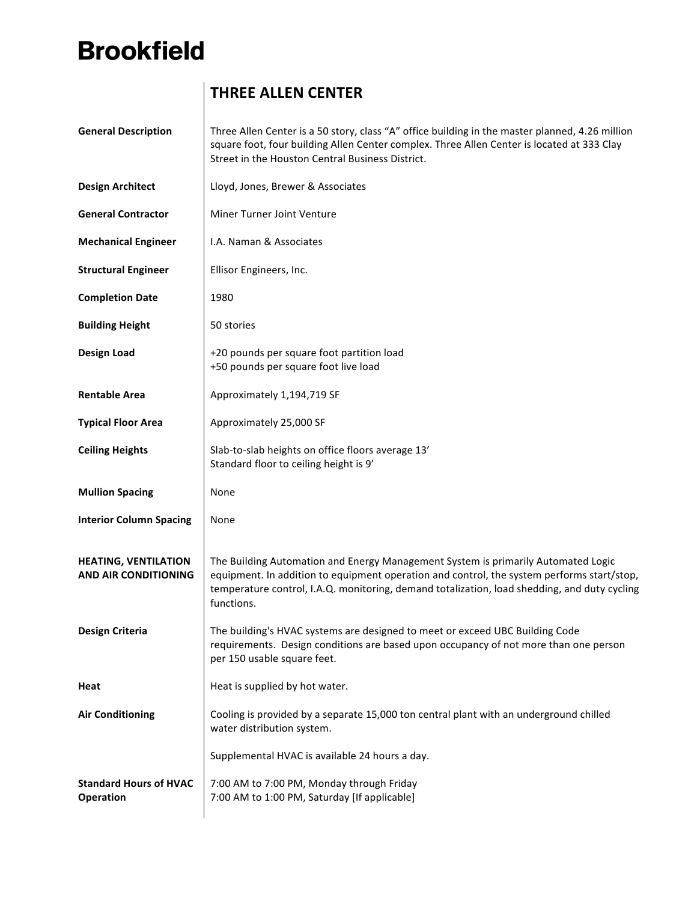## **Brookfield**

## **THREE ALLEN CENTER**

| <b>General Description</b>                                 | Three Allen Center is a 50 story, class "A" office building in the master planned, 4.26 million<br>square foot, four building Allen Center complex. Three Allen Center is located at 333 Clay<br>Street in the Houston Central Business District.                                             |
|------------------------------------------------------------|-----------------------------------------------------------------------------------------------------------------------------------------------------------------------------------------------------------------------------------------------------------------------------------------------|
| <b>Design Architect</b>                                    | Lloyd, Jones, Brewer & Associates                                                                                                                                                                                                                                                             |
| <b>General Contractor</b>                                  | Miner Turner Joint Venture                                                                                                                                                                                                                                                                    |
| <b>Mechanical Engineer</b>                                 | I.A. Naman & Associates                                                                                                                                                                                                                                                                       |
| <b>Structural Engineer</b>                                 | Ellisor Engineers, Inc.                                                                                                                                                                                                                                                                       |
| <b>Completion Date</b>                                     | 1980                                                                                                                                                                                                                                                                                          |
| <b>Building Height</b>                                     | 50 stories                                                                                                                                                                                                                                                                                    |
| <b>Design Load</b>                                         | +20 pounds per square foot partition load<br>+50 pounds per square foot live load                                                                                                                                                                                                             |
| <b>Rentable Area</b>                                       | Approximately 1,194,719 SF                                                                                                                                                                                                                                                                    |
| <b>Typical Floor Area</b>                                  | Approximately 25,000 SF                                                                                                                                                                                                                                                                       |
| <b>Ceiling Heights</b>                                     | Slab-to-slab heights on office floors average 13'<br>Standard floor to ceiling height is 9'                                                                                                                                                                                                   |
| <b>Mullion Spacing</b>                                     | None                                                                                                                                                                                                                                                                                          |
| <b>Interior Column Spacing</b>                             | None                                                                                                                                                                                                                                                                                          |
| <b>HEATING, VENTILATION</b><br><b>AND AIR CONDITIONING</b> | The Building Automation and Energy Management System is primarily Automated Logic<br>equipment. In addition to equipment operation and control, the system performs start/stop,<br>temperature control, I.A.Q. monitoring, demand totalization, load shedding, and duty cycling<br>functions. |
| <b>Design Criteria</b>                                     | The building's HVAC systems are designed to meet or exceed UBC Building Code<br>requirements. Design conditions are based upon occupancy of not more than one person<br>per 150 usable square feet.                                                                                           |
| Heat                                                       | Heat is supplied by hot water.                                                                                                                                                                                                                                                                |
| <b>Air Conditioning</b>                                    | Cooling is provided by a separate 15,000 ton central plant with an underground chilled<br>water distribution system.                                                                                                                                                                          |
|                                                            | Supplemental HVAC is available 24 hours a day.                                                                                                                                                                                                                                                |
| <b>Standard Hours of HVAC</b><br>Operation                 | 7:00 AM to 7:00 PM, Monday through Friday<br>7:00 AM to 1:00 PM, Saturday [If applicable]                                                                                                                                                                                                     |